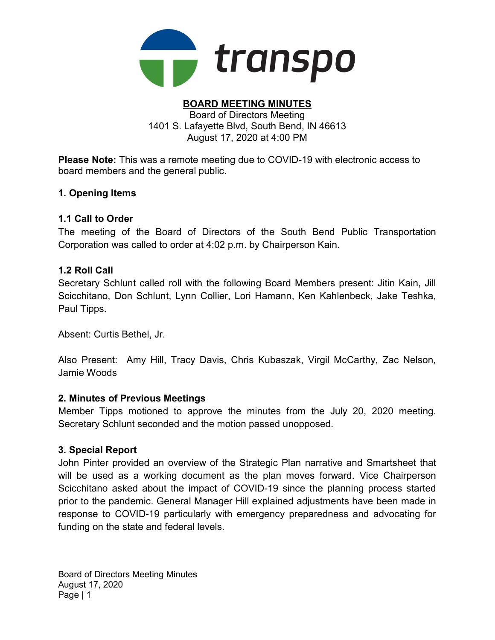

#### BOARD MEETING MINUTES Board of Directors Meeting 1401 S. Lafayette Blvd, South Bend, IN 46613 August 17, 2020 at 4:00 PM

Please Note: This was a remote meeting due to COVID-19 with electronic access to board members and the general public.

## 1. Opening Items

## 1.1 Call to Order

The meeting of the Board of Directors of the South Bend Public Transportation Corporation was called to order at 4:02 p.m. by Chairperson Kain.

## 1.2 Roll Call

Secretary Schlunt called roll with the following Board Members present: Jitin Kain, Jill Scicchitano, Don Schlunt, Lynn Collier, Lori Hamann, Ken Kahlenbeck, Jake Teshka, Paul Tipps.

Absent: Curtis Bethel, Jr.

Also Present: Amy Hill, Tracy Davis, Chris Kubaszak, Virgil McCarthy, Zac Nelson, Jamie Woods

## 2. Minutes of Previous Meetings

Member Tipps motioned to approve the minutes from the July 20, 2020 meeting. Secretary Schlunt seconded and the motion passed unopposed.

## 3. Special Report

John Pinter provided an overview of the Strategic Plan narrative and Smartsheet that will be used as a working document as the plan moves forward. Vice Chairperson Scicchitano asked about the impact of COVID-19 since the planning process started prior to the pandemic. General Manager Hill explained adjustments have been made in response to COVID-19 particularly with emergency preparedness and advocating for funding on the state and federal levels.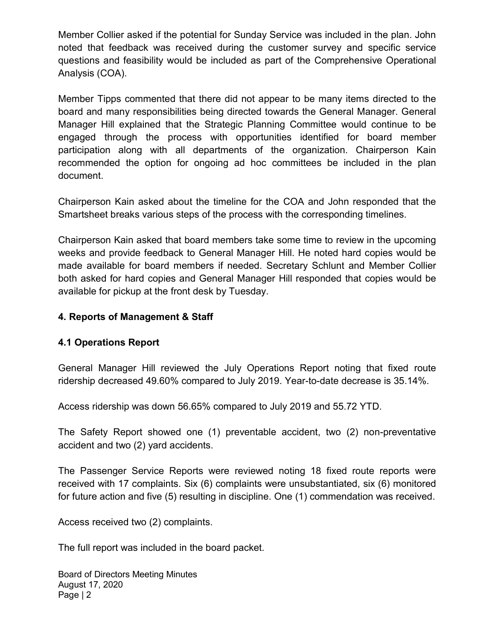Member Collier asked if the potential for Sunday Service was included in the plan. John noted that feedback was received during the customer survey and specific service questions and feasibility would be included as part of the Comprehensive Operational Analysis (COA).

Member Tipps commented that there did not appear to be many items directed to the board and many responsibilities being directed towards the General Manager. General Manager Hill explained that the Strategic Planning Committee would continue to be engaged through the process with opportunities identified for board member participation along with all departments of the organization. Chairperson Kain recommended the option for ongoing ad hoc committees be included in the plan document.

Chairperson Kain asked about the timeline for the COA and John responded that the Smartsheet breaks various steps of the process with the corresponding timelines.

Chairperson Kain asked that board members take some time to review in the upcoming weeks and provide feedback to General Manager Hill. He noted hard copies would be made available for board members if needed. Secretary Schlunt and Member Collier both asked for hard copies and General Manager Hill responded that copies would be available for pickup at the front desk by Tuesday.

## 4. Reports of Management & Staff

## 4.1 Operations Report

General Manager Hill reviewed the July Operations Report noting that fixed route ridership decreased 49.60% compared to July 2019. Year-to-date decrease is 35.14%.

Access ridership was down 56.65% compared to July 2019 and 55.72 YTD.

The Safety Report showed one (1) preventable accident, two (2) non-preventative accident and two (2) yard accidents.

The Passenger Service Reports were reviewed noting 18 fixed route reports were received with 17 complaints. Six (6) complaints were unsubstantiated, six (6) monitored for future action and five (5) resulting in discipline. One (1) commendation was received.

Access received two (2) complaints.

The full report was included in the board packet.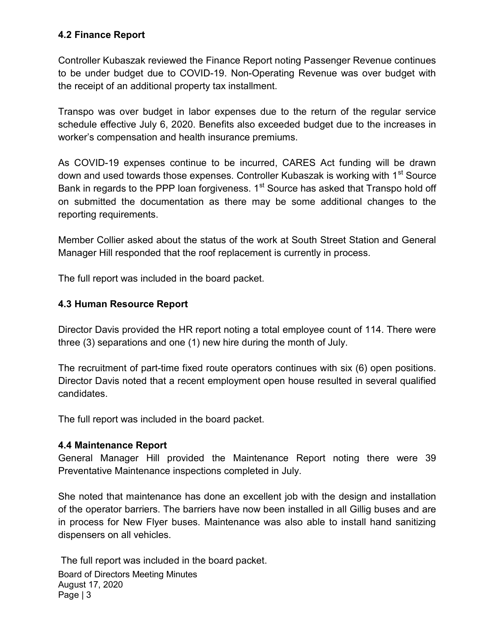## 4.2 Finance Report

Controller Kubaszak reviewed the Finance Report noting Passenger Revenue continues to be under budget due to COVID-19. Non-Operating Revenue was over budget with the receipt of an additional property tax installment.

Transpo was over budget in labor expenses due to the return of the regular service schedule effective July 6, 2020. Benefits also exceeded budget due to the increases in worker's compensation and health insurance premiums.

As COVID-19 expenses continue to be incurred, CARES Act funding will be drawn down and used towards those expenses. Controller Kubaszak is working with 1<sup>st</sup> Source Bank in regards to the PPP loan forgiveness.  $1<sup>st</sup>$  Source has asked that Transpo hold off on submitted the documentation as there may be some additional changes to the reporting requirements.

Member Collier asked about the status of the work at South Street Station and General Manager Hill responded that the roof replacement is currently in process.

The full report was included in the board packet.

## 4.3 Human Resource Report

Director Davis provided the HR report noting a total employee count of 114. There were three (3) separations and one (1) new hire during the month of July.

The recruitment of part-time fixed route operators continues with six (6) open positions. Director Davis noted that a recent employment open house resulted in several qualified candidates.

The full report was included in the board packet.

## 4.4 Maintenance Report

General Manager Hill provided the Maintenance Report noting there were 39 Preventative Maintenance inspections completed in July.

She noted that maintenance has done an excellent job with the design and installation of the operator barriers. The barriers have now been installed in all Gillig buses and are in process for New Flyer buses. Maintenance was also able to install hand sanitizing dispensers on all vehicles.

Board of Directors Meeting Minutes August 17, 2020 Page | 3 The full report was included in the board packet.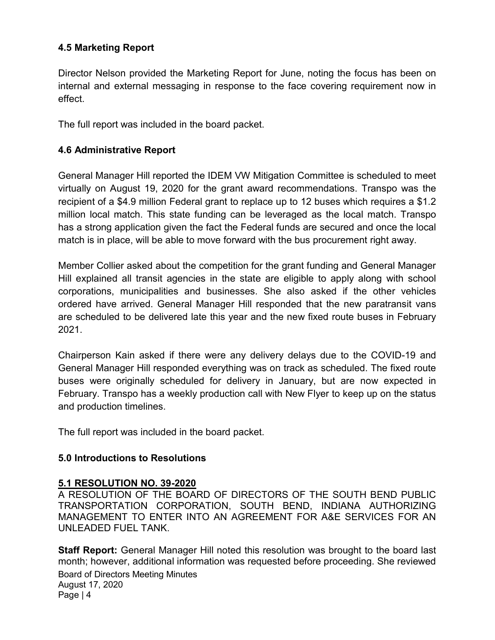## 4.5 Marketing Report

Director Nelson provided the Marketing Report for June, noting the focus has been on internal and external messaging in response to the face covering requirement now in effect.

The full report was included in the board packet.

### 4.6 Administrative Report

General Manager Hill reported the IDEM VW Mitigation Committee is scheduled to meet virtually on August 19, 2020 for the grant award recommendations. Transpo was the recipient of a \$4.9 million Federal grant to replace up to 12 buses which requires a \$1.2 million local match. This state funding can be leveraged as the local match. Transpo has a strong application given the fact the Federal funds are secured and once the local match is in place, will be able to move forward with the bus procurement right away.

Member Collier asked about the competition for the grant funding and General Manager Hill explained all transit agencies in the state are eligible to apply along with school corporations, municipalities and businesses. She also asked if the other vehicles ordered have arrived. General Manager Hill responded that the new paratransit vans are scheduled to be delivered late this year and the new fixed route buses in February 2021.

Chairperson Kain asked if there were any delivery delays due to the COVID-19 and General Manager Hill responded everything was on track as scheduled. The fixed route buses were originally scheduled for delivery in January, but are now expected in February. Transpo has a weekly production call with New Flyer to keep up on the status and production timelines.

The full report was included in the board packet.

#### 5.0 Introductions to Resolutions

## 5.1 RESOLUTION NO. 39-2020

A RESOLUTION OF THE BOARD OF DIRECTORS OF THE SOUTH BEND PUBLIC TRANSPORTATION CORPORATION, SOUTH BEND, INDIANA AUTHORIZING MANAGEMENT TO ENTER INTO AN AGREEMENT FOR A&E SERVICES FOR AN UNLEADED FUEL TANK.

Board of Directors Meeting Minutes August 17, 2020 Page | 4 **Staff Report:** General Manager Hill noted this resolution was brought to the board last month; however, additional information was requested before proceeding. She reviewed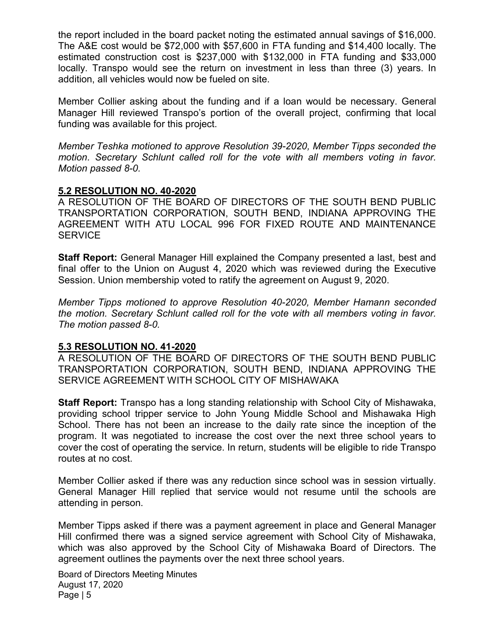the report included in the board packet noting the estimated annual savings of \$16,000. The A&E cost would be \$72,000 with \$57,600 in FTA funding and \$14,400 locally. The estimated construction cost is \$237,000 with \$132,000 in FTA funding and \$33,000 locally. Transpo would see the return on investment in less than three (3) years. In addition, all vehicles would now be fueled on site.

Member Collier asking about the funding and if a loan would be necessary. General Manager Hill reviewed Transpo's portion of the overall project, confirming that local funding was available for this project.

Member Teshka motioned to approve Resolution 39-2020, Member Tipps seconded the motion. Secretary Schlunt called roll for the vote with all members voting in favor. Motion passed 8-0.

#### 5.2 RESOLUTION NO. 40-2020

A RESOLUTION OF THE BOARD OF DIRECTORS OF THE SOUTH BEND PUBLIC TRANSPORTATION CORPORATION, SOUTH BEND, INDIANA APPROVING THE AGREEMENT WITH ATU LOCAL 996 FOR FIXED ROUTE AND MAINTENANCE **SERVICE** 

Staff Report: General Manager Hill explained the Company presented a last, best and final offer to the Union on August 4, 2020 which was reviewed during the Executive Session. Union membership voted to ratify the agreement on August 9, 2020.

Member Tipps motioned to approve Resolution 40-2020, Member Hamann seconded the motion. Secretary Schlunt called roll for the vote with all members voting in favor. The motion passed 8-0.

#### 5.3 RESOLUTION NO. 41-2020

A RESOLUTION OF THE BOARD OF DIRECTORS OF THE SOUTH BEND PUBLIC TRANSPORTATION CORPORATION, SOUTH BEND, INDIANA APPROVING THE SERVICE AGREEMENT WITH SCHOOL CITY OF MISHAWAKA

Staff Report: Transpo has a long standing relationship with School City of Mishawaka, providing school tripper service to John Young Middle School and Mishawaka High School. There has not been an increase to the daily rate since the inception of the program. It was negotiated to increase the cost over the next three school years to cover the cost of operating the service. In return, students will be eligible to ride Transpo routes at no cost.

Member Collier asked if there was any reduction since school was in session virtually. General Manager Hill replied that service would not resume until the schools are attending in person.

Member Tipps asked if there was a payment agreement in place and General Manager Hill confirmed there was a signed service agreement with School City of Mishawaka, which was also approved by the School City of Mishawaka Board of Directors. The agreement outlines the payments over the next three school years.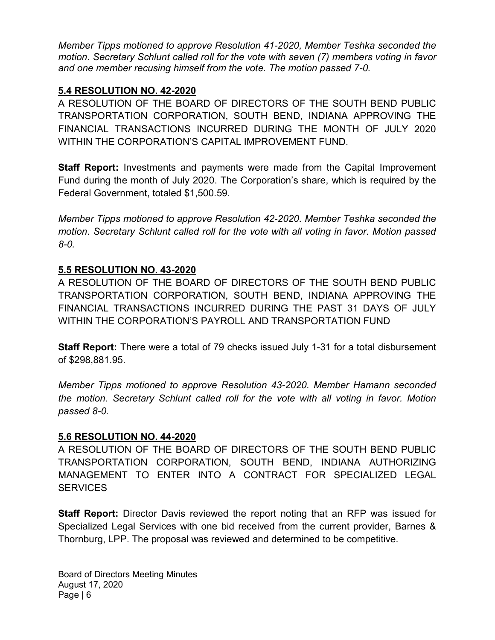Member Tipps motioned to approve Resolution 41-2020, Member Teshka seconded the motion. Secretary Schlunt called roll for the vote with seven (7) members voting in favor and one member recusing himself from the vote. The motion passed 7-0.

## 5.4 RESOLUTION NO. 42-2020

A RESOLUTION OF THE BOARD OF DIRECTORS OF THE SOUTH BEND PUBLIC TRANSPORTATION CORPORATION, SOUTH BEND, INDIANA APPROVING THE FINANCIAL TRANSACTIONS INCURRED DURING THE MONTH OF JULY 2020 WITHIN THE CORPORATION'S CAPITAL IMPROVEMENT FUND.

**Staff Report:** Investments and payments were made from the Capital Improvement Fund during the month of July 2020. The Corporation's share, which is required by the Federal Government, totaled \$1,500.59.

Member Tipps motioned to approve Resolution 42-2020. Member Teshka seconded the motion. Secretary Schlunt called roll for the vote with all voting in favor. Motion passed 8-0.

## 5.5 RESOLUTION NO. 43-2020

A RESOLUTION OF THE BOARD OF DIRECTORS OF THE SOUTH BEND PUBLIC TRANSPORTATION CORPORATION, SOUTH BEND, INDIANA APPROVING THE FINANCIAL TRANSACTIONS INCURRED DURING THE PAST 31 DAYS OF JULY WITHIN THE CORPORATION'S PAYROLL AND TRANSPORTATION FUND

Staff Report: There were a total of 79 checks issued July 1-31 for a total disbursement of \$298,881.95.

Member Tipps motioned to approve Resolution 43-2020. Member Hamann seconded the motion. Secretary Schlunt called roll for the vote with all voting in favor. Motion passed 8-0.

## 5.6 RESOLUTION NO. 44-2020

A RESOLUTION OF THE BOARD OF DIRECTORS OF THE SOUTH BEND PUBLIC TRANSPORTATION CORPORATION, SOUTH BEND, INDIANA AUTHORIZING MANAGEMENT TO ENTER INTO A CONTRACT FOR SPECIALIZED LEGAL **SERVICES** 

**Staff Report:** Director Davis reviewed the report noting that an RFP was issued for Specialized Legal Services with one bid received from the current provider, Barnes & Thornburg, LPP. The proposal was reviewed and determined to be competitive.